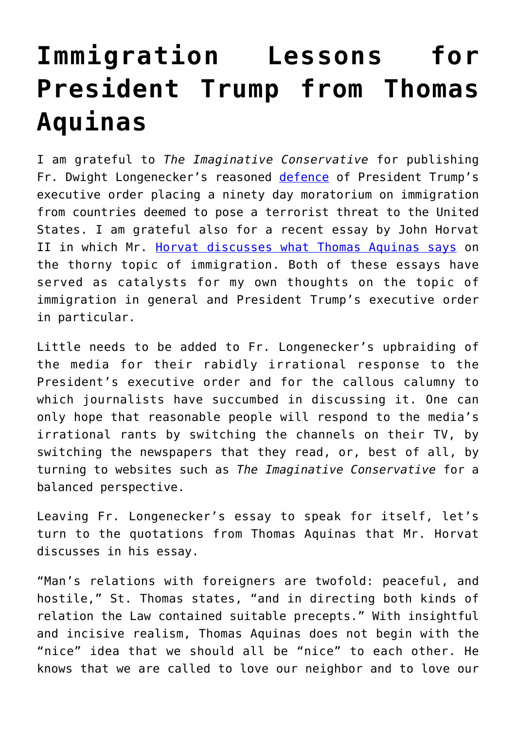## **[Immigration Lessons for](https://intellectualtakeout.org/2017/02/immigration-lessons-for-president-trump-from-thomas-aquinas/) [President Trump from Thomas](https://intellectualtakeout.org/2017/02/immigration-lessons-for-president-trump-from-thomas-aquinas/) [Aquinas](https://intellectualtakeout.org/2017/02/immigration-lessons-for-president-trump-from-thomas-aquinas/)**

I am grateful to *The Imaginative Conservative* for publishing Fr. Dwight Longenecker's reasoned [defence](http://www.theimaginativeconservative.org/2017/01/trump-travel-ban-malicious-media-dwight-longenecker.html) of President Trump's executive order placing a ninety day moratorium on immigration from countries deemed to pose a terrorist threat to the United States. I am grateful also for a recent essay by John Horvat II in which Mr. [Horvat discusses what Thomas Aquinas says](http://www.returntoorder.org/2014/07/saint-thomas-say-immigration-2/) on the thorny topic of immigration. Both of these essays have served as catalysts for my own thoughts on the topic of immigration in general and President Trump's executive order in particular.

Little needs to be added to Fr. Longenecker's upbraiding of the media for their rabidly irrational response to the President's executive order and for the callous calumny to which journalists have succumbed in discussing it. One can only hope that reasonable people will respond to the media's irrational rants by switching the channels on their TV, by switching the newspapers that they read, or, best of all, by turning to websites such as *The Imaginative Conservative* for a balanced perspective.

Leaving Fr. Longenecker's essay to speak for itself, let's turn to the quotations from Thomas Aquinas that Mr. Horvat discusses in his essay.

"Man's relations with foreigners are twofold: peaceful, and hostile," St. Thomas states, "and in directing both kinds of relation the Law contained suitable precepts." With insightful and incisive realism, Thomas Aquinas does not begin with the "nice" idea that we should all be "nice" to each other. He knows that we are called to love our neighbor and to love our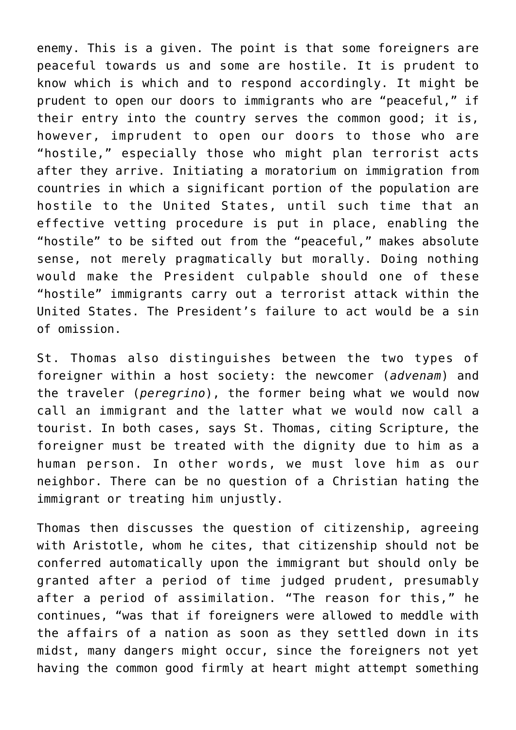enemy. This is a given. The point is that some foreigners are peaceful towards us and some are hostile. It is prudent to know which is which and to respond accordingly. It might be prudent to open our doors to immigrants who are "peaceful," if their entry into the country serves the common good; it is, however, imprudent to open our doors to those who are "hostile," especially those who might plan terrorist acts after they arrive. Initiating a moratorium on immigration from countries in which a significant portion of the population are hostile to the United States, until such time that an effective vetting procedure is put in place, enabling the "hostile" to be sifted out from the "peaceful," makes absolute sense, not merely pragmatically but morally. Doing nothing would make the President culpable should one of these "hostile" immigrants carry out a terrorist attack within the United States. The President's failure to act would be a sin of omission.

St. Thomas also distinguishes between the two types of foreigner within a host society: the newcomer (*advenam*) and the traveler (*peregrino*), the former being what we would now call an immigrant and the latter what we would now call a tourist. In both cases, says St. Thomas, citing Scripture, the foreigner must be treated with the dignity due to him as a human person. In other words, we must love him as our neighbor. There can be no question of a Christian hating the immigrant or treating him unjustly.

Thomas then discusses the question of citizenship, agreeing with Aristotle, whom he cites, that citizenship should not be conferred automatically upon the immigrant but should only be granted after a period of time judged prudent, presumably after a period of assimilation. "The reason for this," he continues, "was that if foreigners were allowed to meddle with the affairs of a nation as soon as they settled down in its midst, many dangers might occur, since the foreigners not yet having the common good firmly at heart might attempt something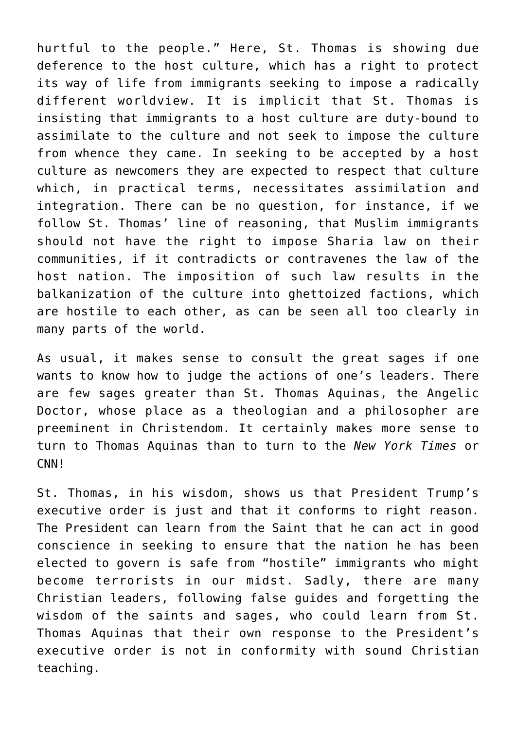hurtful to the people." Here, St. Thomas is showing due deference to the host culture, which has a right to protect its way of life from immigrants seeking to impose a radically different worldview. It is implicit that St. Thomas is insisting that immigrants to a host culture are duty-bound to assimilate to the culture and not seek to impose the culture from whence they came. In seeking to be accepted by a host culture as newcomers they are expected to respect that culture which, in practical terms, necessitates assimilation and integration. There can be no question, for instance, if we follow St. Thomas' line of reasoning, that Muslim immigrants should not have the right to impose Sharia law on their communities, if it contradicts or contravenes the law of the host nation. The imposition of such law results in the balkanization of the culture into ghettoized factions, which are hostile to each other, as can be seen all too clearly in many parts of the world.

As usual, it makes sense to consult the great sages if one wants to know how to judge the actions of one's leaders. There are few sages greater than St. Thomas Aquinas, the Angelic Doctor, whose place as a theologian and a philosopher are preeminent in Christendom. It certainly makes more sense to turn to Thomas Aquinas than to turn to the *New York Times* or CNN!

St. Thomas, in his wisdom, shows us that President Trump's executive order is just and that it conforms to right reason. The President can learn from the Saint that he can act in good conscience in seeking to ensure that the nation he has been elected to govern is safe from "hostile" immigrants who might become terrorists in our midst. Sadly, there are many Christian leaders, following false guides and forgetting the wisdom of the saints and sages, who could learn from St. Thomas Aquinas that their own response to the President's executive order is not in conformity with sound Christian teaching.